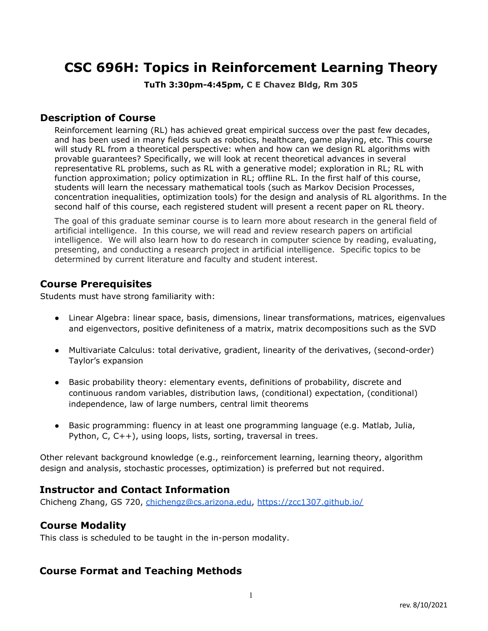# **CSC 696H: Topics in Reinforcement Learning Theory**

**TuTh 3:30pm-4:45pm, C E Chavez Bldg, Rm 305**

#### **Description of Course**

Reinforcement learning (RL) has achieved great empirical success over the past few decades, and has been used in many fields such as robotics, healthcare, game playing, etc. This course will study RL from a theoretical perspective: when and how can we design RL algorithms with provable guarantees? Specifically, we will look at recent theoretical advances in several representative RL problems, such as RL with a generative model; exploration in RL; RL with function approximation; policy optimization in RL; offline RL. In the first half of this course, students will learn the necessary mathematical tools (such as Markov Decision Processes, concentration inequalities, optimization tools) for the design and analysis of RL algorithms. In the second half of this course, each registered student will present a recent paper on RL theory.

The goal of this graduate seminar course is to learn more about research in the general field of artificial intelligence. In this course, we will read and review research papers on artificial intelligence. We will also learn how to do research in computer science by reading, evaluating, presenting, and conducting a research project in artificial intelligence. Specific topics to be determined by current literature and faculty and student interest.

#### **Course Prerequisites**

Students must have strong familiarity with:

- Linear Algebra: linear space, basis, dimensions, linear transformations, matrices, eigenvalues and eigenvectors, positive definiteness of a matrix, matrix decompositions such as the SVD
- Multivariate Calculus: total derivative, gradient, linearity of the derivatives, (second-order) Taylor's expansion
- Basic probability theory: elementary events, definitions of probability, discrete and continuous random variables, distribution laws, (conditional) expectation, (conditional) independence, law of large numbers, central limit theorems
- Basic programming: fluency in at least one programming language (e.g. Matlab, Julia, Python, C, C++), using loops, lists, sorting, traversal in trees.

Other relevant background knowledge (e.g., reinforcement learning, learning theory, algorithm design and analysis, stochastic processes, optimization) is preferred but not required.

### **Instructor and Contact Information**

Chicheng Zhang, GS 720, [chichengz@cs.arizona.edu,](mailto:chichengz@cs.arizona.edu) <https://zcc1307.github.io/>

#### **Course Modality**

This class is scheduled to be taught in the in-person modality.

### **Course Format and Teaching Methods**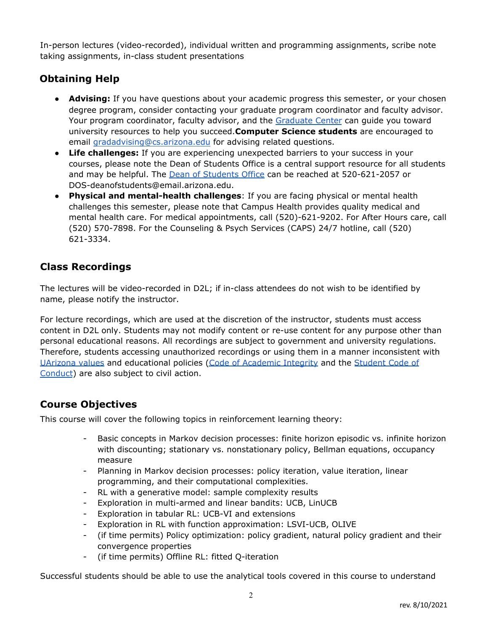In-person lectures (video-recorded), individual written and programming assignments, scribe note taking assignments, in-class student presentations

# **Obtaining Help**

- **Advising:** If you have questions about your academic progress this semester, or your chosen degree program, consider contacting your graduate program coordinator and faculty advisor. Your program coordinator, faculty advisor, and the [Graduate](https://gradcenter.arizona.edu/) Center can guide you toward university resources to help you succeed.**Computer Science students** are encouraged to email [gradadvising@cs.arizona.edu](mailto:gradadvising@cs.arizona.edu) for advising related questions.
- **Life challenges:** If you are experiencing unexpected barriers to your success in your courses, please note the Dean of Students Office is a central support resource for all students and may be helpful. The Dean of [Students](https://deanofstudents.arizona.edu/) Office can be reached at 520-621-2057 or DOS-deanofstudents@email.arizona.edu.
- **Physical and mental-health challenges**: If you are facing physical or mental health challenges this semester, please note that Campus Health provides quality medical and mental health care. For medical appointments, call (520)-621-9202. For After Hours care, call (520) 570-7898. For the Counseling & Psych Services (CAPS) 24/7 hotline, call (520) 621-3334.

# **Class Recordings**

The lectures will be video-recorded in D2L; if in-class attendees do not wish to be identified by name, please notify the instructor.

For lecture recordings, which are used at the discretion of the instructor, students must access content in D2L only. Students may not modify content or re-use content for any purpose other than personal educational reasons. All recordings are subject to government and university regulations. Therefore, students accessing unauthorized recordings or using them in a manner inconsistent wit[h](https://www.arizona.edu/purpose-mission-values) [UArizona](https://www.arizona.edu/purpose-mission-values) values and educational policies (Code of [Academic](https://deanofstudents.arizona.edu/student-rights-responsibilities/academic-integrity) Integrity and the [Student](https://deanofstudents.arizona.edu/student-rights-responsibilities/student-code-conduct) Code of [Conduct](https://deanofstudents.arizona.edu/student-rights-responsibilities/student-code-conduct)) are also subject to civil action.

# **Course Objectives**

This course will cover the following topics in reinforcement learning theory:

- Basic concepts in Markov decision processes: finite horizon episodic vs. infinite horizon with discounting; stationary vs. nonstationary policy, Bellman equations, occupancy measure
- Planning in Markov decision processes: policy iteration, value iteration, linear programming, and their computational complexities.
- RL with a generative model: sample complexity results
- Exploration in multi-armed and linear bandits: UCB, LinUCB
- Exploration in tabular RL: UCB-VI and extensions
- Exploration in RL with function approximation: LSVI-UCB, OLIVE
- (if time permits) Policy optimization: policy gradient, natural policy gradient and their convergence properties
- (if time permits) Offline RL: fitted Q-iteration

Successful students should be able to use the analytical tools covered in this course to understand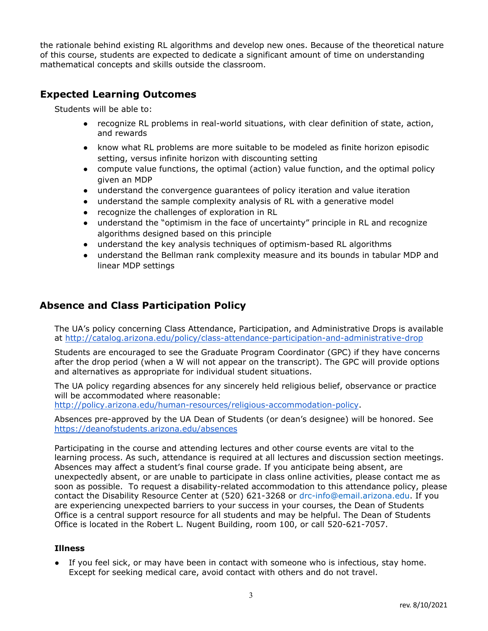the rationale behind existing RL algorithms and develop new ones. Because of the theoretical nature of this course, students are expected to dedicate a significant amount of time on understanding mathematical concepts and skills outside the classroom.

## **Expected Learning Outcomes**

Students will be able to:

- recognize RL problems in real-world situations, with clear definition of state, action, and rewards
- know what RL problems are more suitable to be modeled as finite horizon episodic setting, versus infinite horizon with discounting setting
- compute value functions, the optimal (action) value function, and the optimal policy given an MDP
- understand the convergence guarantees of policy iteration and value iteration
- understand the sample complexity analysis of RL with a generative model
- recognize the challenges of exploration in RL
- understand the "optimism in the face of uncertainty" principle in RL and recognize algorithms designed based on this principle
- understand the key analysis techniques of optimism-based RL algorithms
- understand the Bellman rank complexity measure and its bounds in tabular MDP and linear MDP settings

### **Absence and Class Participation Policy**

The UA's policy concerning Class Attendance, Participation, and Administrative Drops is available at <http://catalog.arizona.edu/policy/class-attendance-participation-and-administrative-drop>

Students are encouraged to see the Graduate Program Coordinator (GPC) if they have concerns after the drop period (when a W will not appear on the transcript). The GPC will provide options and alternatives as appropriate for individual student situations.

The UA policy regarding absences for any sincerely held religious belief, observance or practice will be accommodated where reasonable:

<http://policy.arizona.edu/human-resources/religious-accommodation-policy>.

Absences pre-approved by the UA Dean of Students (or dean's designee) will be honored. See <https://deanofstudents.arizona.edu/absences>

Participating in the course and attending lectures and other course events are vital to the learning process. As such, attendance is required at all lectures and discussion section meetings. Absences may affect a student's final course grade. If you anticipate being absent, are unexpectedly absent, or are unable to participate in class online activities, please contact me as soon as possible. To request a disability-related accommodation to this attendance policy, please contact the Disability Resource Center at (520) 621-3268 or drc-info@email.arizona.edu. If you are experiencing unexpected barriers to your success in your courses, the Dean of Students Office is a central support resource for all students and may be helpful. The Dean of Students Office is located in the Robert L. Nugent Building, room 100, or call 520-621-7057.

#### **Illness**

**●** If you feel sick, or may have been in contact with someone who is infectious, stay home. Except for seeking medical care, avoid contact with others and do not travel.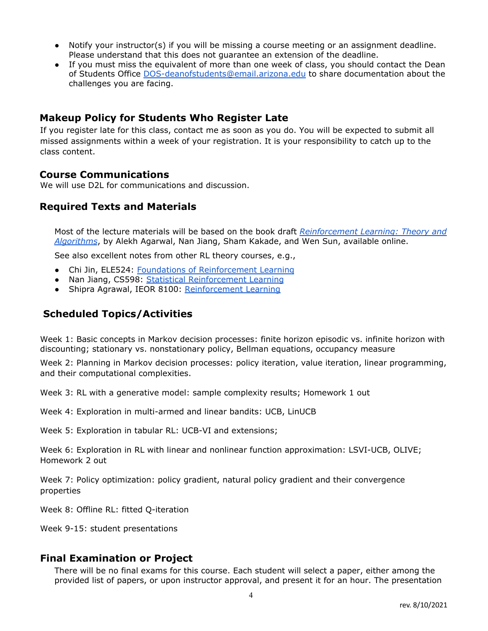- Notify your instructor(s) if you will be missing a course meeting or an assignment deadline. Please understand that this does not guarantee an extension of the deadline.
- If you must miss the equivalent of more than one week of class, you should contact the Dean of Students Office [DOS-deanofstudents@email.arizona.edu](mailto:DOS-deanofstudents@email.arizona.edu) to share documentation about the challenges you are facing.

#### **Makeup Policy for Students Who Register Late**

If you register late for this class, contact me as soon as you do. You will be expected to submit all missed assignments within a week of your registration. It is your responsibility to catch up to the class content.

#### **Course Communications**

We will use D2L for communications and discussion.

#### **Required Texts and Materials**

Most of the lecture materials will be based on the book draft *[Reinforcement](https://rltheorybook.github.io/rltheorybook_AJKS.pdf) Learning: Theory and [Algorithms](https://rltheorybook.github.io/rltheorybook_AJKS.pdf)*, by Alekh Agarwal, Nan Jiang, Sham Kakade, and Wen Sun, available online.

See also excellent notes from other RL theory courses, e.g.,

- Chi Jin, ELE524: Foundations of [Reinforcement](https://sites.google.com/view/cjin/ele524?authuser=0) Learning
- Nan Jiang, CS598: Statistical [Reinforcement](https://nanjiang.cs.illinois.edu/cs598/) Learning
- Shipra Agrawal, IEOR 8100: [Reinforcement](https://ieor8100.github.io/rl) Learning

### **Scheduled Topics/Activities**

Week 1: Basic concepts in Markov decision processes: finite horizon episodic vs. infinite horizon with discounting; stationary vs. nonstationary policy, Bellman equations, occupancy measure

Week 2: Planning in Markov decision processes: policy iteration, value iteration, linear programming, and their computational complexities.

Week 3: RL with a generative model: sample complexity results; Homework 1 out

Week 4: Exploration in multi-armed and linear bandits: UCB, LinUCB

Week 5: Exploration in tabular RL: UCB-VI and extensions;

Week 6: Exploration in RL with linear and nonlinear function approximation: LSVI-UCB, OLIVE; Homework 2 out

Week 7: Policy optimization: policy gradient, natural policy gradient and their convergence properties

Week 8: Offline RL: fitted Q-iteration

Week 9-15: student presentations

#### **Final Examination or Project**

There will be no final exams for this course. Each student will select a paper, either among the provided list of papers, or upon instructor approval, and present it for an hour. The presentation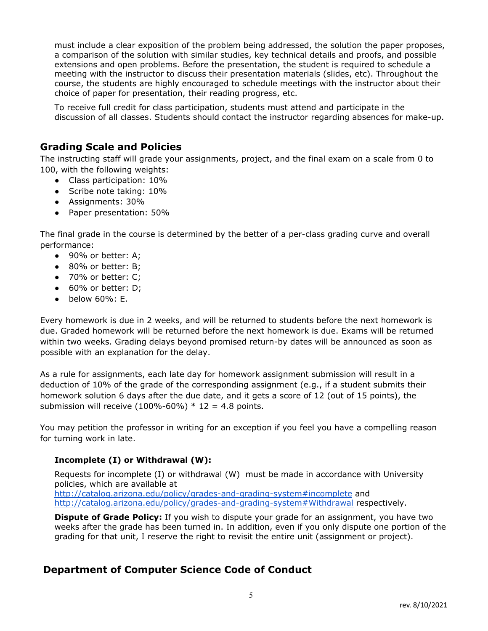must include a clear exposition of the problem being addressed, the solution the paper proposes, a comparison of the solution with similar studies, key technical details and proofs, and possible extensions and open problems. Before the presentation, the student is required to schedule a meeting with the instructor to discuss their presentation materials (slides, etc). Throughout the course, the students are highly encouraged to schedule meetings with the instructor about their choice of paper for presentation, their reading progress, etc.

To receive full credit for class participation, students must attend and participate in the discussion of all classes. Students should contact the instructor regarding absences for make-up.

### **Grading Scale and Policies**

The instructing staff will grade your assignments, project, and the final exam on a scale from 0 to 100, with the following weights:

- Class participation: 10%
- Scribe note taking: 10%
- Assignments: 30%
- Paper presentation: 50%

The final grade in the course is determined by the better of a per-class grading curve and overall performance:

- 90% or better: A:
- 80% or better: B;
- 70% or better: C:
- 60% or better: D;
- $\bullet$  below 60%: E.

Every homework is due in 2 weeks, and will be returned to students before the next homework is due. Graded homework will be returned before the next homework is due. Exams will be returned within two weeks. Grading delays beyond promised return-by dates will be announced as soon as possible with an explanation for the delay.

As a rule for assignments, each late day for homework assignment submission will result in a deduction of 10% of the grade of the corresponding assignment (e.g., if a student submits their homework solution 6 days after the due date, and it gets a score of 12 (out of 15 points), the submission will receive  $(100\% - 60\%) * 12 = 4.8$  points.

You may petition the professor in writing for an exception if you feel you have a compelling reason for turning work in late.

#### **Incomplete (I) or Withdrawal (W):**

Requests for incomplete (I) or withdrawal (W) must be made in accordance with University policies, which are available at <http://catalog.arizona.edu/policy/grades-and-grading-system#incomplete> an[d](http://catalog.arizona.edu/policy/grades-and-grading-system#Withdrawal) <http://catalog.arizona.edu/policy/grades-and-grading-system#Withdrawal> respectively.

**Dispute of Grade Policy:** If you wish to dispute your grade for an assignment, you have two weeks after the grade has been turned in. In addition, even if you only dispute one portion of the grading for that unit, I reserve the right to revisit the entire unit (assignment or project).

### **Department of Computer Science Code of Conduct**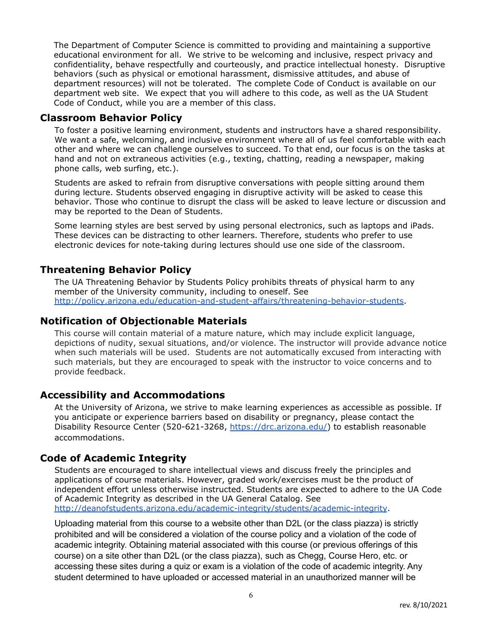The Department of Computer Science is committed to providing and maintaining a supportive educational environment for all. We strive to be welcoming and inclusive, respect privacy and confidentiality, behave respectfully and courteously, and practice intellectual honesty. Disruptive behaviors (such as physical or emotional harassment, dismissive attitudes, and abuse of department resources) will not be tolerated. The complete Code of Conduct is available on our department web site. We expect that you will adhere to this code, as well as the UA Student Code of Conduct, while you are a member of this class.

#### **Classroom Behavior Policy**

To foster a positive learning environment, students and instructors have a shared responsibility. We want a safe, welcoming, and inclusive environment where all of us feel comfortable with each other and where we can challenge ourselves to succeed. To that end, our focus is on the tasks at hand and not on extraneous activities (e.g., texting, chatting, reading a newspaper, making phone calls, web surfing, etc.).

Students are asked to refrain from disruptive conversations with people sitting around them during lecture. Students observed engaging in disruptive activity will be asked to cease this behavior. Those who continue to disrupt the class will be asked to leave lecture or discussion and may be reported to the Dean of Students.

Some learning styles are best served by using personal electronics, such as laptops and iPads. These devices can be distracting to other learners. Therefore, students who prefer to use electronic devices for note-taking during lectures should use one side of the classroom.

### **Threatening Behavior Policy**

The UA Threatening Behavior by Students Policy prohibits threats of physical harm to any member of the University community, including to oneself. See [http://policy.arizona.edu/education-and-student-affairs/threatening-behavior-students.](http://policy.arizona.edu/education-and-student-affairs/threatening-behavior-students)

#### **Notification of Objectionable Materials**

This course will contain material of a mature nature, which may include explicit language, depictions of nudity, sexual situations, and/or violence. The instructor will provide advance notice when such materials will be used. Students are not automatically excused from interacting with such materials, but they are encouraged to speak with the instructor to voice concerns and to provide feedback.

### **Accessibility and Accommodations**

At the University of Arizona, we strive to make learning experiences as accessible as possible. If you anticipate or experience barriers based on disability or pregnancy, please contact the Disability Resource Center (520-621-3268, [https://drc.arizona.edu/\)](https://drc.arizona.edu/) to establish reasonable accommodations.

### **Code of Academic Integrity**

Students are encouraged to share intellectual views and discuss freely the principles and applications of course materials. However, graded work/exercises must be the product of independent effort unless otherwise instructed. Students are expected to adhere to the UA Code of Academic Integrity as described in the UA General Catalog. See <http://deanofstudents.arizona.edu/academic-integrity/students/academic-integrity>.

Uploading material from this course to a website other than D2L (or the class piazza) is strictly prohibited and will be considered a violation of the course policy and a violation of the code of academic integrity. Obtaining material associated with this course (or previous offerings of this course) on a site other than D2L (or the class piazza), such as Chegg, Course Hero, etc. or accessing these sites during a quiz or exam is a violation of the code of academic integrity. Any student determined to have uploaded or accessed material in an unauthorized manner will be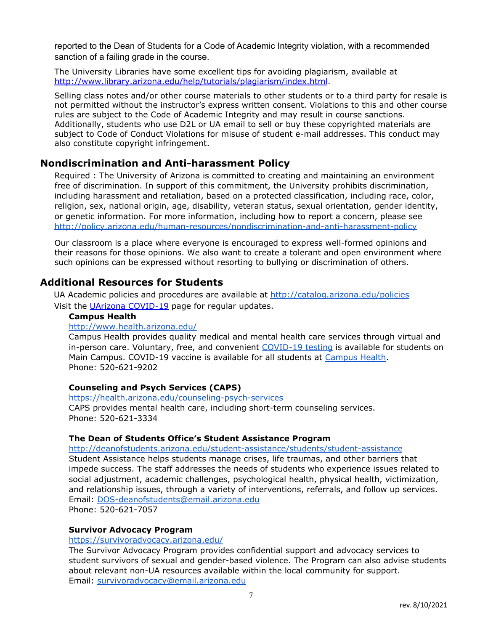reported to the Dean of Students for a Code of Academic Integrity violation, with a recommended sanction of a failing grade in the course.

The University Libraries have some excellent tips for avoiding plagiarism, available at <http://www.library.arizona.edu/help/tutorials/plagiarism/index.html>.

Selling class notes and/or other course materials to other students or to a third party for resale is not permitted without the instructor's express written consent. Violations to this and other course rules are subject to the Code of Academic Integrity and may result in course sanctions. Additionally, students who use D2L or UA email to sell or buy these copyrighted materials are subject to Code of Conduct Violations for misuse of student e-mail addresses. This conduct may also constitute copyright infringement.

### **Nondiscrimination and Anti-harassment Policy**

Required : The University of Arizona is committed to creating and maintaining an environment free of discrimination. In support of this commitment, the University prohibits discrimination, including harassment and retaliation, based on a protected classification, including race, color, religion, sex, national origin, age, disability, veteran status, sexual orientation, gender identity, or genetic information. For more information, including how to report a concern, please see <http://policy.arizona.edu/human-resources/nondiscrimination-and-anti-harassment-policy>

Our classroom is a place where everyone is encouraged to express well-formed opinions and their reasons for those opinions. We also want to create a tolerant and open environment where such opinions can be expressed without resorting to bullying or discrimination of others.

#### **Additional Resources for Students**

UA Academic policies and procedures are available at <http://catalog.arizona.edu/policies> Visit the *UArizona [COVID-19](https://www.arizona.edu/coronavirus-covid-19-information)* page for regular updates.

#### **Campus Health**

#### <http://www.health.arizona.edu/>

Campus Health provides quality medical and mental health care services through virtual and in-person care. Voluntary, free, and convenient [COVID-19](https://covid19.arizona.edu/test-trace-treat) testing is available for students on Main Campus. COVID-19 vaccine is available for all students at [Campus](https://health.arizona.edu/covidvaccine) Health. Phone: 520-621-9202

#### **Counseling and Psych Services (CAPS)**

<https://health.arizona.edu/counseling-psych-services> CAPS provides mental health care, including short-term counseling services. Phone: 520-621-3334

#### **The Dean of Students Office's Student Assistance Program**

<http://deanofstudents.arizona.edu/student-assistance/students/student-assistance>

Student Assistance helps students manage crises, life traumas, and other barriers that impede success. The staff addresses the needs of students who experience issues related to social adjustment, academic challenges, psychological health, physical health, victimization, and relationship issues, through a variety of interventions, referrals, and follow up services. Email: [DOS-deanofstudents@email.arizona.edu](mailto:DOS-deanofstudents@email.arizona.edu)

Phone: 520-621-7057

#### **Survivor Advocacy Program**

#### <https://survivoradvocacy.arizona.edu/>

The Survivor Advocacy Program provides confidential support and advocacy services to student survivors of sexual and gender-based violence. The Program can also advise students about relevant non-UA resources available within the local community for support. Email: [survivoradvocacy@email.arizona.edu](mailto:survivoradvocacy@email.arizona.edu)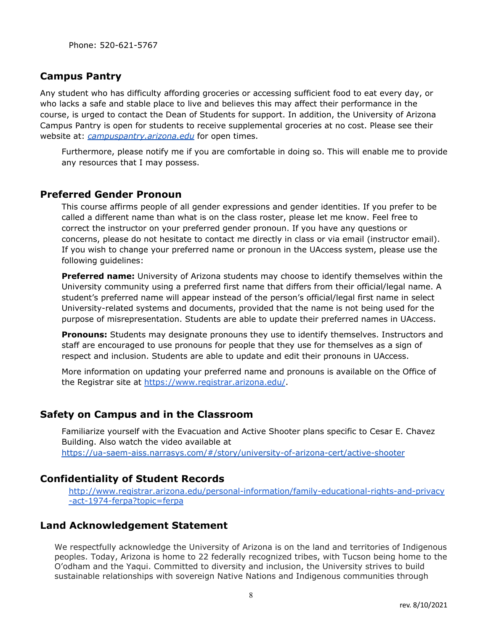#### **Campus Pantry**

Any student who has difficulty affording groceries or accessing sufficient food to eat every day, or who lacks a safe and stable place to live and believes this may affect their performance in the course, is urged to contact the Dean of Students for support. In addition, the University of Arizona Campus Pantry is open for students to receive supplemental groceries at no cost. Please see their website at: *[campuspantry.arizona.edu](http://campuspantry.arizona.edu/)* for open times.

Furthermore, please notify me if you are comfortable in doing so. This will enable me to provide any resources that I may possess.

#### **Preferred Gender Pronoun**

This course affirms people of all gender expressions and gender identities. If you prefer to be called a different name than what is on the class roster, please let me know. Feel free to correct the instructor on your preferred gender pronoun. If you have any questions or concerns, please do not hesitate to contact me directly in class or via email (instructor email). If you wish to change your preferred name or pronoun in the UAccess system, please use the following guidelines:

**Preferred name:** University of Arizona students may choose to identify themselves within the University community using a preferred first name that differs from their official/legal name. A student's preferred name will appear instead of the person's official/legal first name in select University-related systems and documents, provided that the name is not being used for the purpose of misrepresentation. Students are able to update their preferred names in UAccess.

**Pronouns:** Students may designate pronouns they use to identify themselves. Instructors and staff are encouraged to use pronouns for people that they use for themselves as a sign of respect and inclusion. Students are able to update and edit their pronouns in UAccess.

More information on updating your preferred name and pronouns is available on the Office of the Registrar site at <https://www.registrar.arizona.edu/>.

#### **Safety on Campus and in the Classroom**

Familiarize yourself with the Evacuation and Active Shooter plans specific to Cesar E. [Chavez](https://ctsrooms.arizona.edu/building/chvez) [Building.](https://ctsrooms.arizona.edu/building/chvez) Also watch the video available a[t](https://ua-saem-aiss.narrasys.com/#/story/university-of-arizona-cert/active-shooter) <https://ua-saem-aiss.narrasys.com/#/story/university-of-arizona-cert/active-shooter>

#### **Confidentiality of Student Records**

[http://www.registrar.arizona.edu/personal-information/family-educational-rights-and-privacy](http://www.registrar.arizona.edu/personal-information/family-educational-rights-and-privacy-act-1974-ferpa?topic=ferpa) [-act-1974-ferpa?topic=ferpa](http://www.registrar.arizona.edu/personal-information/family-educational-rights-and-privacy-act-1974-ferpa?topic=ferpa)

#### **Land Acknowledgement Statement**

We respectfully acknowledge the University of Arizona is on the land and territories of Indigenous peoples. Today, Arizona is home to 22 federally recognized tribes, with Tucson being home to the O'odham and the Yaqui. Committed to diversity and inclusion, the University strives to build sustainable relationships with sovereign Native Nations and Indigenous communities through